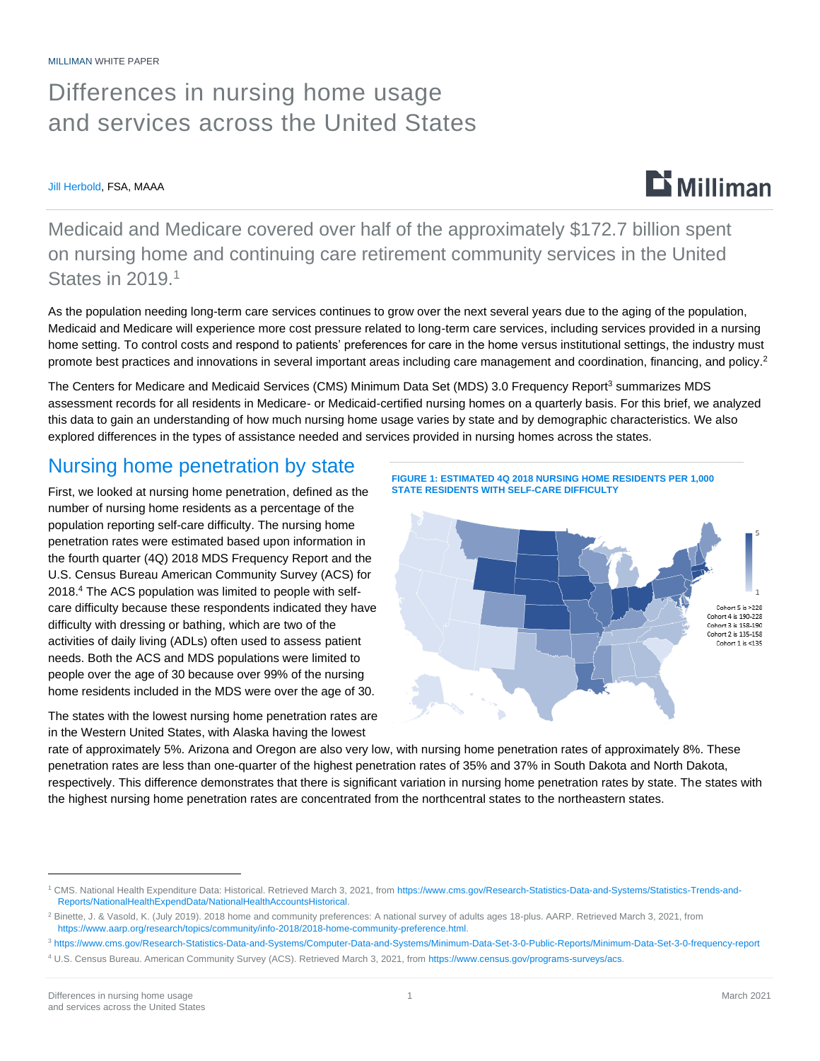## Differences in nursing home usage and services across the United States

#### Jill Herbold, FSA, MAAA

Medicaid and Medicare covered over half of the approximately \$172.7 billion spent on nursing home and continuing care retirement community services in the United States in 2019.<sup>1</sup>

As the population needing long-term care services continues to grow over the next several years due to the aging of the population, Medicaid and Medicare will experience more cost pressure related to long-term care services, including services provided in a nursing home setting. To control costs and respond to patients' preferences for care in the home versus institutional settings, the industry must promote best practices and innovations in several important areas including care management and coordination, financing, and policy.<sup>2</sup>

The Centers for Medicare and Medicaid Services (CMS) Minimum Data Set (MDS) 3.0 Frequency Report<sup>3</sup> summarizes MDS assessment records for all residents in Medicare- or Medicaid-certified nursing homes on a quarterly basis. For this brief, we analyzed this data to gain an understanding of how much nursing home usage varies by state and by demographic characteristics. We also explored differences in the types of assistance needed and services provided in nursing homes across the states.

### Nursing home penetration by state

First, we looked at nursing home penetration, defined as the number of nursing home residents as a percentage of the population reporting self-care difficulty. The nursing home penetration rates were estimated based upon information in the fourth quarter (4Q) 2018 MDS Frequency Report and the U.S. Census Bureau American Community Survey (ACS) for 2018. <sup>4</sup> The ACS population was limited to people with selfcare difficulty because these respondents indicated they have difficulty with dressing or bathing, which are two of the activities of daily living (ADLs) often used to assess patient needs. Both the ACS and MDS populations were limited to people over the age of 30 because over 99% of the nursing home residents included in the MDS were over the age of 30.

The states with the lowest nursing home penetration rates are in the Western United States, with Alaska having the lowest





rate of approximately 5%. Arizona and Oregon are also very low, with nursing home penetration rates of approximately 8%. These penetration rates are less than one-quarter of the highest penetration rates of 35% and 37% in South Dakota and North Dakota, respectively. This difference demonstrates that there is significant variation in nursing home penetration rates by state. The states with the highest nursing home penetration rates are concentrated from the northcentral states to the northeastern states.

 $\mathbf{D}$  Milliman

<sup>1</sup> CMS. National Health Expenditure Data: Historical. Retrieved March 3, 2021, from [https://www.cms.gov/Research-Statistics-Data-and-Systems/Statistics-Trends-and-](https://www.cms.gov/Research-Statistics-Data-and-Systems/Statistics-Trends-and-Reports/NationalHealthExpendData/NationalHealthAccountsHistorical)[Reports/NationalHealthExpendData/NationalHealthAccountsHistorical.](https://www.cms.gov/Research-Statistics-Data-and-Systems/Statistics-Trends-and-Reports/NationalHealthExpendData/NationalHealthAccountsHistorical)

<sup>&</sup>lt;sup>2</sup> Binette, J. & Vasold, K. (July 2019). 2018 home and community preferences: A national survey of adults ages 18-plus. AARP. Retrieved March 3, 2021, from [https://www.aarp.org/research/topics/community/info-2018/2018-home-community-preference.html.](https://www.aarp.org/research/topics/community/info-2018/2018-home-community-preference.html)

<sup>3</sup> <https://www.cms.gov/Research-Statistics-Data-and-Systems/Computer-Data-and-Systems/Minimum-Data-Set-3-0-Public-Reports/Minimum-Data-Set-3-0-frequency-report>

<sup>4</sup> U.S. Census Bureau. American Community Survey (ACS). Retrieved March 3, 2021, from [https://www.census.gov/programs-surveys/acs.](https://www.census.gov/programs-surveys/acs)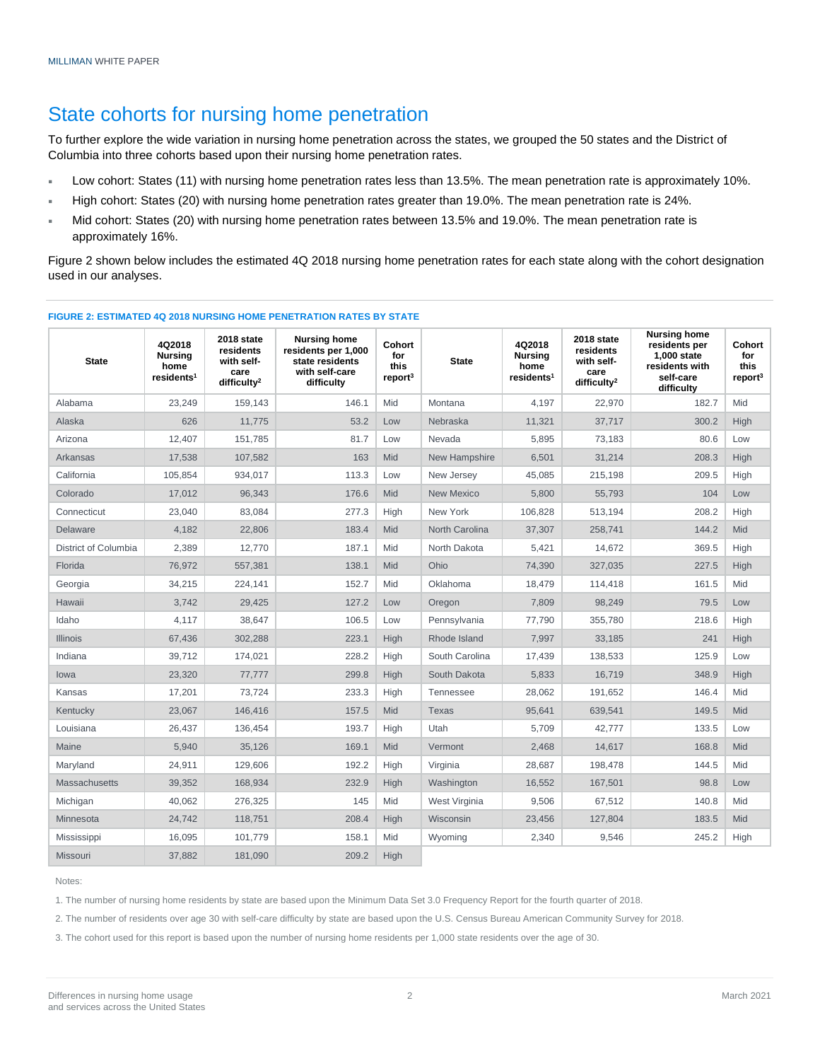### State cohorts for nursing home penetration

To further explore the wide variation in nursing home penetration across the states, we grouped the 50 states and the District of Columbia into three cohorts based upon their nursing home penetration rates.

- Low cohort: States (11) with nursing home penetration rates less than 13.5%. The mean penetration rate is approximately 10%.
- High cohort: States (20) with nursing home penetration rates greater than 19.0%. The mean penetration rate is 24%.
- Mid cohort: States (20) with nursing home penetration rates between 13.5% and 19.0%. The mean penetration rate is approximately 16%.

Figure 2 shown below includes the estimated 4Q 2018 nursing home penetration rates for each state along with the cohort designation used in our analyses.

| <b>State</b>         | 4Q2018<br><b>Nursing</b><br>home<br>residents <sup>1</sup> | 2018 state<br>residents<br>with self-<br>care<br>difficulty <sup>2</sup> | <b>Nursing home</b><br>residents per 1,000<br>state residents<br>with self-care<br>difficulty | Cohort<br>for<br>this<br>report <sup>3</sup> | <b>State</b>      | 4Q2018<br><b>Nursing</b><br>home<br>residents <sup>1</sup> | 2018 state<br>residents<br>with self-<br>care<br>difficulty <sup>2</sup> | <b>Nursing home</b><br>residents per<br>1,000 state<br>residents with<br>self-care<br>difficulty | Cohort<br>for<br>this<br>report <sup>3</sup> |
|----------------------|------------------------------------------------------------|--------------------------------------------------------------------------|-----------------------------------------------------------------------------------------------|----------------------------------------------|-------------------|------------------------------------------------------------|--------------------------------------------------------------------------|--------------------------------------------------------------------------------------------------|----------------------------------------------|
| Alabama              | 23.249                                                     | 159.143                                                                  | 146.1                                                                                         | Mid                                          | Montana           | 4.197                                                      | 22.970                                                                   | 182.7                                                                                            | Mid                                          |
| Alaska               | 626                                                        | 11,775                                                                   | 53.2                                                                                          | Low                                          | Nebraska          | 11,321                                                     | 37,717                                                                   | 300.2                                                                                            | High                                         |
| Arizona              | 12,407                                                     | 151,785                                                                  | 81.7                                                                                          | Low                                          | Nevada            | 5,895                                                      | 73,183                                                                   | 80.6                                                                                             | Low                                          |
| Arkansas             | 17,538                                                     | 107,582                                                                  | 163                                                                                           | Mid                                          | New Hampshire     | 6,501                                                      | 31,214                                                                   | 208.3                                                                                            | High                                         |
| California           | 105,854                                                    | 934,017                                                                  | 113.3                                                                                         | Low                                          | New Jersey        | 45,085                                                     | 215,198                                                                  | 209.5                                                                                            | High                                         |
| Colorado             | 17.012                                                     | 96,343                                                                   | 176.6                                                                                         | Mid                                          | <b>New Mexico</b> | 5.800                                                      | 55,793                                                                   | 104                                                                                              | Low                                          |
| Connecticut          | 23.040                                                     | 83,084                                                                   | 277.3                                                                                         | High                                         | New York          | 106.828                                                    | 513.194                                                                  | 208.2                                                                                            | High                                         |
| Delaware             | 4,182                                                      | 22,806                                                                   | 183.4                                                                                         | Mid                                          | North Carolina    | 37,307                                                     | 258,741                                                                  | 144.2                                                                                            | Mid                                          |
| District of Columbia | 2,389                                                      | 12,770                                                                   | 187.1                                                                                         | Mid                                          | North Dakota      | 5,421                                                      | 14.672                                                                   | 369.5                                                                                            | High                                         |
| Florida              | 76,972                                                     | 557,381                                                                  | 138.1                                                                                         | Mid                                          | Ohio              | 74,390                                                     | 327,035                                                                  | 227.5                                                                                            | High                                         |
| Georgia              | 34,215                                                     | 224,141                                                                  | 152.7                                                                                         | Mid                                          | Oklahoma          | 18,479                                                     | 114,418                                                                  | 161.5                                                                                            | Mid                                          |
| Hawaii               | 3,742                                                      | 29,425                                                                   | 127.2                                                                                         | Low                                          | Oregon            | 7,809                                                      | 98,249                                                                   | 79.5                                                                                             | Low                                          |
| Idaho                | 4,117                                                      | 38,647                                                                   | 106.5                                                                                         | Low                                          | Pennsylvania      | 77,790                                                     | 355,780                                                                  | 218.6                                                                                            | High                                         |
| <b>Illinois</b>      | 67,436                                                     | 302,288                                                                  | 223.1                                                                                         | High                                         | Rhode Island      | 7.997                                                      | 33,185                                                                   | 241                                                                                              | High                                         |
| Indiana              | 39,712                                                     | 174,021                                                                  | 228.2                                                                                         | High                                         | South Carolina    | 17,439                                                     | 138,533                                                                  | 125.9                                                                                            | Low                                          |
| lowa                 | 23,320                                                     | 77,777                                                                   | 299.8                                                                                         | High                                         | South Dakota      | 5,833                                                      | 16,719                                                                   | 348.9                                                                                            | High                                         |
| Kansas               | 17,201                                                     | 73.724                                                                   | 233.3                                                                                         | High                                         | Tennessee         | 28,062                                                     | 191,652                                                                  | 146.4                                                                                            | Mid                                          |
| Kentucky             | 23,067                                                     | 146,416                                                                  | 157.5                                                                                         | Mid                                          | <b>Texas</b>      | 95,641                                                     | 639,541                                                                  | 149.5                                                                                            | <b>Mid</b>                                   |
| Louisiana            | 26,437                                                     | 136,454                                                                  | 193.7                                                                                         | High                                         | Utah              | 5,709                                                      | 42,777                                                                   | 133.5                                                                                            | Low                                          |
| Maine                | 5,940                                                      | 35,126                                                                   | 169.1                                                                                         | Mid                                          | Vermont           | 2,468                                                      | 14,617                                                                   | 168.8                                                                                            | <b>Mid</b>                                   |
| Maryland             | 24,911                                                     | 129,606                                                                  | 192.2                                                                                         | High                                         | Virginia          | 28,687                                                     | 198,478                                                                  | 144.5                                                                                            | Mid                                          |
| <b>Massachusetts</b> | 39,352                                                     | 168,934                                                                  | 232.9                                                                                         | High                                         | Washington        | 16,552                                                     | 167,501                                                                  | 98.8                                                                                             | Low                                          |
| Michigan             | 40,062                                                     | 276,325                                                                  | 145                                                                                           | Mid                                          | West Virginia     | 9,506                                                      | 67,512                                                                   | 140.8                                                                                            | Mid                                          |
| Minnesota            | 24,742                                                     | 118,751                                                                  | 208.4                                                                                         | High                                         | Wisconsin         | 23,456                                                     | 127,804                                                                  | 183.5                                                                                            | Mid                                          |
| Mississippi          | 16.095                                                     | 101,779                                                                  | 158.1                                                                                         | Mid                                          | Wyoming           | 2,340                                                      | 9,546                                                                    | 245.2                                                                                            | High                                         |
| Missouri             | 37,882                                                     | 181,090                                                                  | 209.2                                                                                         | High                                         |                   |                                                            |                                                                          |                                                                                                  |                                              |

#### **FIGURE 2: ESTIMATED 4Q 2018 NURSING HOME PENETRATION RATES BY STATE**

Notes:

1. The number of nursing home residents by state are based upon the Minimum Data Set 3.0 Frequency Report for the fourth quarter of 2018.

2. The number of residents over age 30 with self-care difficulty by state are based upon the U.S. Census Bureau American Community Survey for 2018.

3. The cohort used for this report is based upon the number of nursing home residents per 1,000 state residents over the age of 30.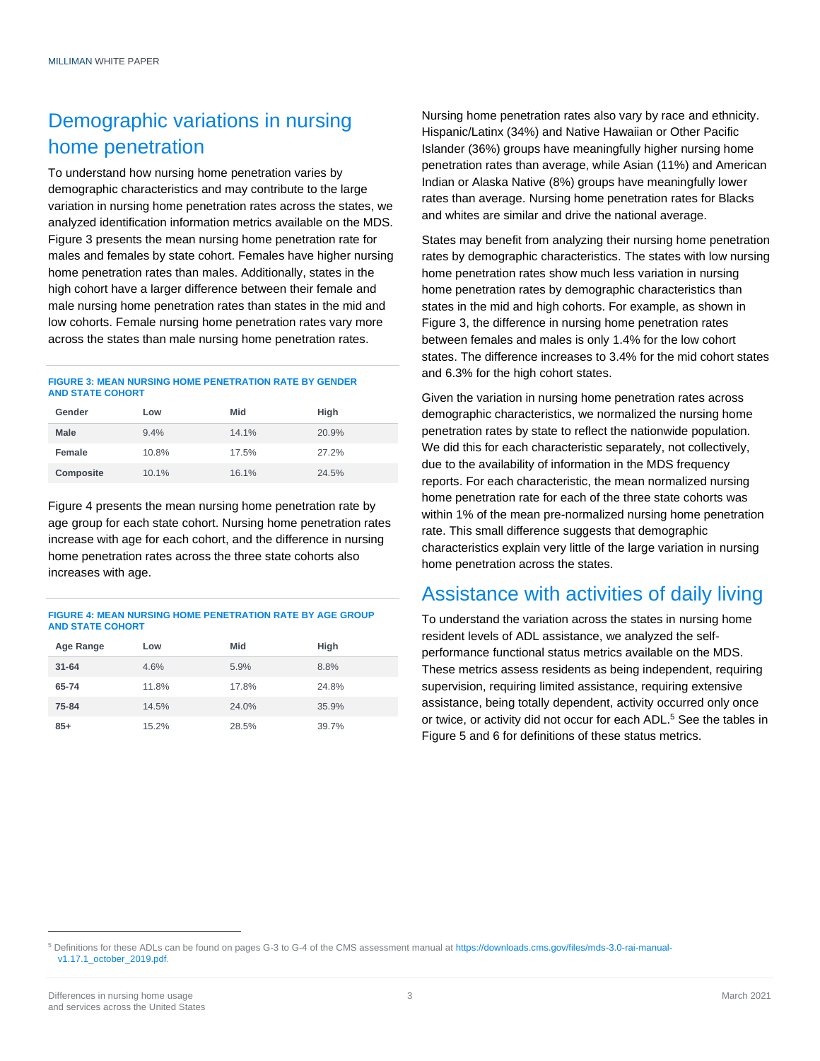### Demographic variations in nursing home penetration

To understand how nursing home penetration varies by demographic characteristics and may contribute to the large variation in nursing home penetration rates across the states, we analyzed identification information metrics available on the MDS. Figure 3 presents the mean nursing home penetration rate for males and females by state cohort. Females have higher nursing home penetration rates than males. Additionally, states in the high cohort have a larger difference between their female and male nursing home penetration rates than states in the mid and low cohorts. Female nursing home penetration rates vary more across the states than male nursing home penetration rates.

#### **FIGURE 3: MEAN NURSING HOME PENETRATION RATE BY GENDER AND STATE COHORT**

| Gender    | Low   | Mid   | High  |
|-----------|-------|-------|-------|
| Male      | 9.4%  | 14.1% | 20.9% |
| Female    | 10.8% | 17.5% | 27.2% |
| Composite | 10.1% | 16.1% | 24.5% |

Figure 4 presents the mean nursing home penetration rate by age group for each state cohort. Nursing home penetration rates increase with age for each cohort, and the difference in nursing home penetration rates across the three state cohorts also increases with age.

#### **FIGURE 4: MEAN NURSING HOME PENETRATION RATE BY AGE GROUP AND STATE COHORT**

| Age Range | Low   | Mid   | High  |
|-----------|-------|-------|-------|
| $31 - 64$ | 4.6%  | 5.9%  | 8.8%  |
| 65-74     | 11.8% | 17.8% | 24.8% |
| 75-84     | 14.5% | 24.0% | 35.9% |
| $85+$     | 15.2% | 28.5% | 39.7% |

Nursing home penetration rates also vary by race and ethnicity. Hispanic/Latinx (34%) and Native Hawaiian or Other Pacific Islander (36%) groups have meaningfully higher nursing home penetration rates than average, while Asian (11%) and American Indian or Alaska Native (8%) groups have meaningfully lower rates than average. Nursing home penetration rates for Blacks and whites are similar and drive the national average.

States may benefit from analyzing their nursing home penetration rates by demographic characteristics. The states with low nursing home penetration rates show much less variation in nursing home penetration rates by demographic characteristics than states in the mid and high cohorts. For example, as shown in Figure 3, the difference in nursing home penetration rates between females and males is only 1.4% for the low cohort states. The difference increases to 3.4% for the mid cohort states and 6.3% for the high cohort states.

Given the variation in nursing home penetration rates across demographic characteristics, we normalized the nursing home penetration rates by state to reflect the nationwide population. We did this for each characteristic separately, not collectively, due to the availability of information in the MDS frequency reports. For each characteristic, the mean normalized nursing home penetration rate for each of the three state cohorts was within 1% of the mean pre-normalized nursing home penetration rate. This small difference suggests that demographic characteristics explain very little of the large variation in nursing home penetration across the states.

### Assistance with activities of daily living

To understand the variation across the states in nursing home resident levels of ADL assistance, we analyzed the selfperformance functional status metrics available on the MDS. These metrics assess residents as being independent, requiring supervision, requiring limited assistance, requiring extensive assistance, being totally dependent, activity occurred only once or twice, or activity did not occur for each ADL.<sup>5</sup> See the tables in Figure 5 and 6 for definitions of these status metrics.

<sup>5</sup> Definitions for these ADLs can be found on pages G-3 to G-4 of the CMS assessment manual a[t https://downloads.cms.gov/files/mds-3.0-rai-manual](https://downloads.cms.gov/files/mds-3.0-rai-manual-v1.17.1_october_2019.pdf)[v1.17.1\\_october\\_2019.pdf.](https://downloads.cms.gov/files/mds-3.0-rai-manual-v1.17.1_october_2019.pdf)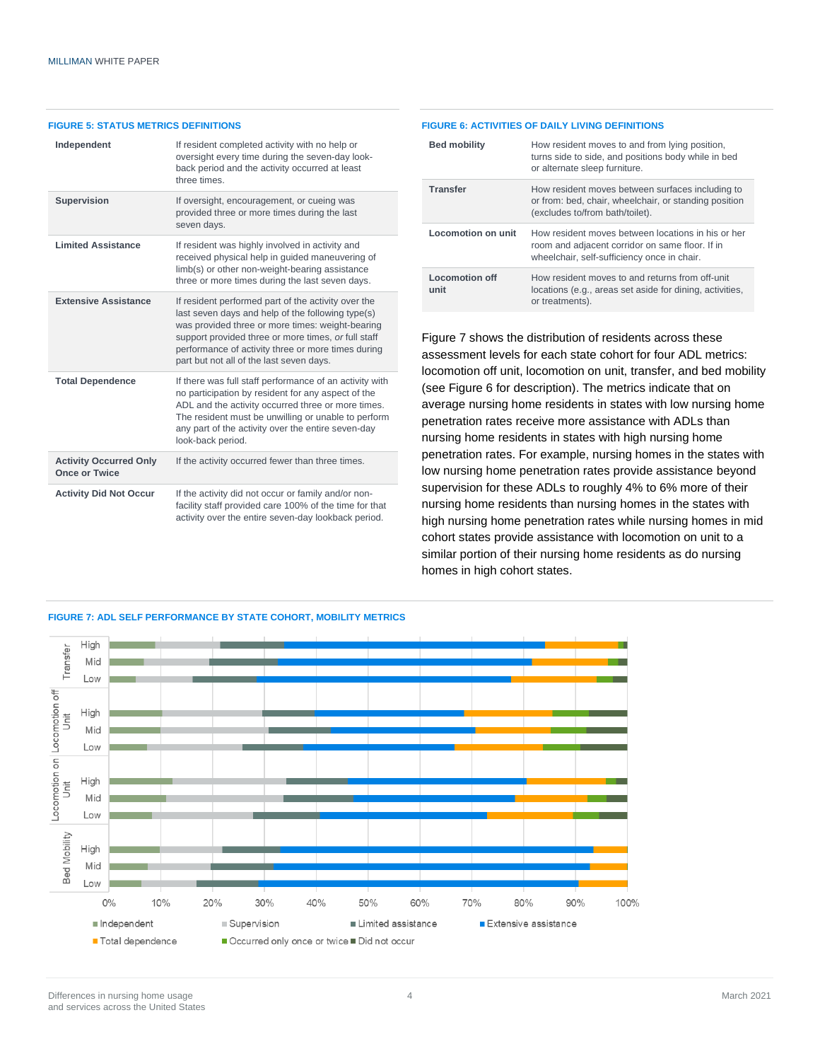#### **FIGURE 5: STATUS METRICS DEFINITIONS**

| Independent                                           | If resident completed activity with no help or<br>oversight every time during the seven-day look-<br>back period and the activity occurred at least<br>three times.                                                                                                                                                   |  |  |
|-------------------------------------------------------|-----------------------------------------------------------------------------------------------------------------------------------------------------------------------------------------------------------------------------------------------------------------------------------------------------------------------|--|--|
| <b>Supervision</b>                                    | If oversight, encouragement, or cueing was<br>provided three or more times during the last<br>seven days.                                                                                                                                                                                                             |  |  |
| <b>Limited Assistance</b>                             | If resident was highly involved in activity and<br>received physical help in quided maneuvering of<br>limb(s) or other non-weight-bearing assistance<br>three or more times during the last seven days.                                                                                                               |  |  |
| <b>Extensive Assistance</b>                           | If resident performed part of the activity over the<br>last seven days and help of the following type(s)<br>was provided three or more times: weight-bearing<br>support provided three or more times, or full staff<br>performance of activity three or more times during<br>part but not all of the last seven days. |  |  |
| <b>Total Dependence</b>                               | If there was full staff performance of an activity with<br>no participation by resident for any aspect of the<br>ADL and the activity occurred three or more times.<br>The resident must be unwilling or unable to perform<br>any part of the activity over the entire seven-day<br>look-back period.                 |  |  |
| <b>Activity Occurred Only</b><br><b>Once or Twice</b> | If the activity occurred fewer than three times.                                                                                                                                                                                                                                                                      |  |  |
| <b>Activity Did Not Occur</b>                         | If the activity did not occur or family and/or non-<br>facility staff provided care 100% of the time for that<br>activity over the entire seven-day lookback period.                                                                                                                                                  |  |  |

#### **FIGURE 6: ACTIVITIES OF DAILY LIVING DEFINITIONS**

| <b>Bed mobility</b>           | How resident moves to and from lying position,<br>turns side to side, and positions body while in bed<br>or alternate sleep furniture.               |
|-------------------------------|------------------------------------------------------------------------------------------------------------------------------------------------------|
| <b>Transfer</b>               | How resident moves between surfaces including to<br>or from: bed, chair, wheelchair, or standing position<br>(excludes to/from bath/toilet).         |
| Locomotion on unit            | How resident moves between locations in his or her<br>room and adjacent corridor on same floor. If in<br>wheelchair, self-sufficiency once in chair. |
| <b>Locomotion off</b><br>unit | How resident moves to and returns from off-unit<br>locations (e.g., areas set aside for dining, activities,<br>or treatments).                       |

Figure 7 shows the distribution of residents across these assessment levels for each state cohort for four ADL metrics: locomotion off unit, locomotion on unit, transfer, and bed mobility (see Figure 6 for description). The metrics indicate that on average nursing home residents in states with low nursing home penetration rates receive more assistance with ADLs than nursing home residents in states with high nursing home penetration rates. For example, nursing homes in the states with low nursing home penetration rates provide assistance beyond supervision for these ADLs to roughly 4% to 6% more of their nursing home residents than nursing homes in the states with high nursing home penetration rates while nursing homes in mid cohort states provide assistance with locomotion on unit to a similar portion of their nursing home residents as do nursing homes in high cohort states.

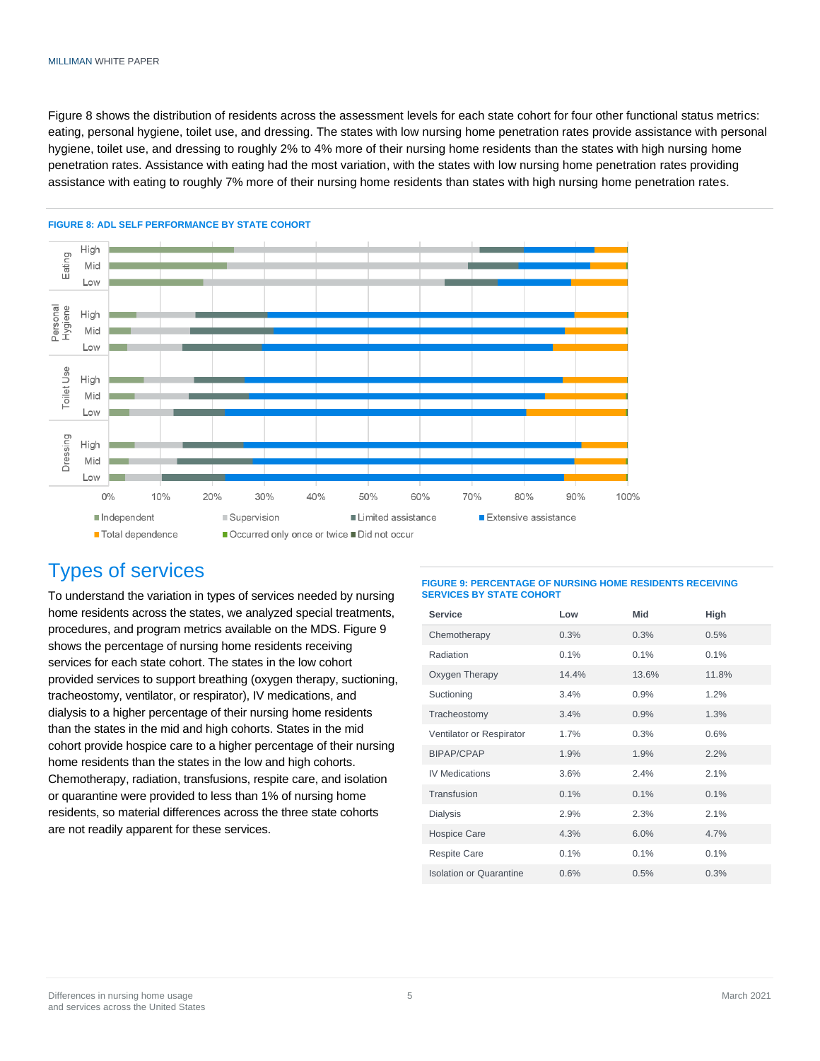#### MILLIMAN WHITE PAPER

Figure 8 shows the distribution of residents across the assessment levels for each state cohort for four other functional status metrics: eating, personal hygiene, toilet use, and dressing. The states with low nursing home penetration rates provide assistance with personal hygiene, toilet use, and dressing to roughly 2% to 4% more of their nursing home residents than the states with high nursing home penetration rates. Assistance with eating had the most variation, with the states with low nursing home penetration rates providing assistance with eating to roughly 7% more of their nursing home residents than states with high nursing home penetration rates.



#### **FIGURE 8: ADL SELF PERFORMANCE BY STATE COHORT**

### Types of services

To understand the variation in types of services needed by nursing home residents across the states, we analyzed special treatments, procedures, and program metrics available on the MDS. Figure 9 shows the percentage of nursing home residents receiving services for each state cohort. The states in the low cohort provided services to support breathing (oxygen therapy, suctioning, tracheostomy, ventilator, or respirator), IV medications, and dialysis to a higher percentage of their nursing home residents than the states in the mid and high cohorts. States in the mid cohort provide hospice care to a higher percentage of their nursing home residents than the states in the low and high cohorts. Chemotherapy, radiation, transfusions, respite care, and isolation or quarantine were provided to less than 1% of nursing home residents, so material differences across the three state cohorts are not readily apparent for these services.

#### **FIGURE 9: PERCENTAGE OF NURSING HOME RESIDENTS RECEIVING SERVICES BY STATE COHORT**

| <b>Service</b>                 | Low   | Mid   | High  |
|--------------------------------|-------|-------|-------|
| Chemotherapy                   | 0.3%  | 0.3%  | 0.5%  |
| Radiation                      | 0.1%  | 0.1%  | 0.1%  |
| Oxygen Therapy                 | 14.4% | 13.6% | 11.8% |
| Suctioning                     | 3.4%  | 0.9%  | 1.2%  |
| Tracheostomy                   | 3.4%  | 0.9%  | 1.3%  |
| Ventilator or Respirator       | 1.7%  | 0.3%  | 0.6%  |
| <b>BIPAP/CPAP</b>              | 1.9%  | 1.9%  | 2.2%  |
| <b>IV Medications</b>          | 3.6%  | 2.4%  | 2.1%  |
| Transfusion                    | 0.1%  | 0.1%  | 0.1%  |
| <b>Dialysis</b>                | 2.9%  | 2.3%  | 2.1%  |
| <b>Hospice Care</b>            | 4.3%  | 6.0%  | 4.7%  |
| <b>Respite Care</b>            | 0.1%  | 0.1%  | 0.1%  |
| <b>Isolation or Quarantine</b> | 0.6%  | 0.5%  | 0.3%  |